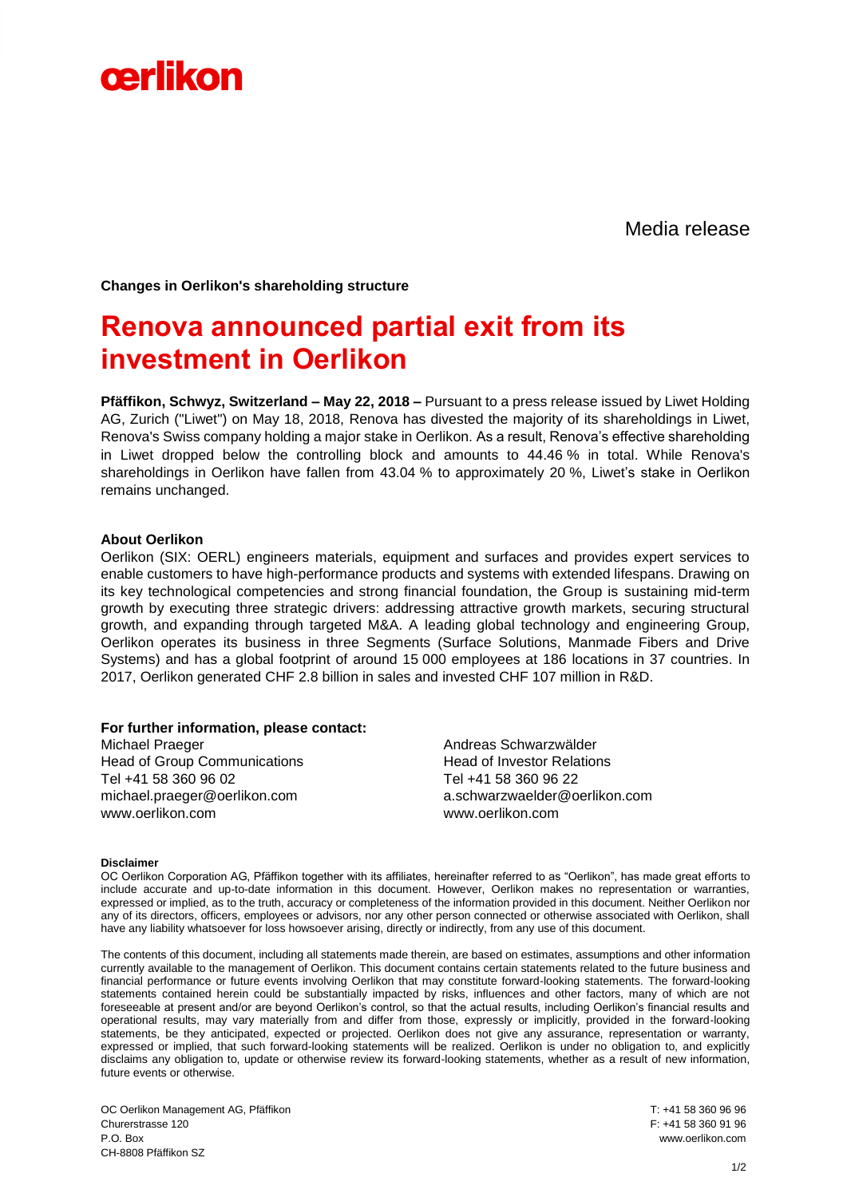

Media release

**Changes in Oerlikon's shareholding structure**

## **Renova announced partial exit from its investment in Oerlikon**

**Pfäffikon, Schwyz, Switzerland – May 22, 2018 –** Pursuant to a press release issued by Liwet Holding AG, Zurich ("Liwet") on May 18, 2018, Renova has divested the majority of its shareholdings in Liwet, Renova's Swiss company holding a major stake in Oerlikon. As a result, Renova's effective shareholding in Liwet dropped below the controlling block and amounts to 44.46 % in total. While Renova's shareholdings in Oerlikon have fallen from 43.04 % to approximately 20 %, Liwet's stake in Oerlikon remains unchanged.

## **About Oerlikon**

Oerlikon (SIX: OERL) engineers materials, equipment and surfaces and provides expert services to enable customers to have high-performance products and systems with extended lifespans. Drawing on its key technological competencies and strong financial foundation, the Group is sustaining mid-term growth by executing three strategic drivers: addressing attractive growth markets, securing structural growth, and expanding through targeted M&A. A leading global technology and engineering Group, Oerlikon operates its business in three Segments (Surface Solutions, Manmade Fibers and Drive Systems) and has a global footprint of around 15 000 employees at 186 locations in 37 countries. In 2017, Oerlikon generated CHF 2.8 billion in sales and invested CHF 107 million in R&D.

## **For further information, please contact:**

Michael Praeger Head of Group Communications Tel +41 58 360 96 02 michael.praeger@oerlikon.com [www.oerlikon.com](http://www.oerlikon.com/)

Andreas Schwarzwälder Head of Investor Relations Tel +41 58 360 96 22 a.schwarzwaelder@oerlikon.com [www.oerlikon.com](http://www.oerlikon.com/)

## **Disclaimer**

OC Oerlikon Corporation AG, Pfäffikon together with its affiliates, hereinafter referred to as "Oerlikon", has made great efforts to include accurate and up-to-date information in this document. However, Oerlikon makes no representation or warranties, expressed or implied, as to the truth, accuracy or completeness of the information provided in this document. Neither Oerlikon nor any of its directors, officers, employees or advisors, nor any other person connected or otherwise associated with Oerlikon, shall have any liability whatsoever for loss howsoever arising, directly or indirectly, from any use of this document.

The contents of this document, including all statements made therein, are based on estimates, assumptions and other information currently available to the management of Oerlikon. This document contains certain statements related to the future business and financial performance or future events involving Oerlikon that may constitute forward-looking statements. The forward-looking statements contained herein could be substantially impacted by risks, influences and other factors, many of which are not foreseeable at present and/or are beyond Oerlikon's control, so that the actual results, including Oerlikon's financial results and operational results, may vary materially from and differ from those, expressly or implicitly, provided in the forward-looking statements, be they anticipated, expected or projected. Oerlikon does not give any assurance, representation or warranty, expressed or implied, that such forward-looking statements will be realized. Oerlikon is under no obligation to, and explicitly disclaims any obligation to, update or otherwise review its forward-looking statements, whether as a result of new information, future events or otherwise.

OC Oerlikon Management AG, Pfäffikon T: +41 58 360 96 96 Churerstrasse 120 F: +41 58 360 91 96 P.O. Box www.oerlikon.com CH-8808 Pfäffikon SZ